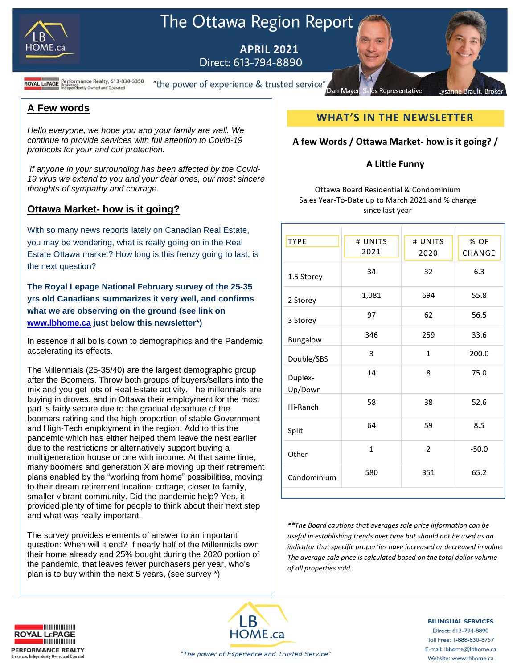

# The Ottawa Region Report

**APRIL 2021** Direct: 613-794-8890

**ROYAL LEPAGE** Brokerage.<br>ROYAL LEPAGE Brokerage.<br>Independently Owned and Operated

"the power of experience & trusted service" Dan Mayer

### **A Few words**

*Hello everyone, we hope you and your family are well. We continue to provide services with full attention to Covid-19 protocols for your and our protection.*

*If anyone in your surrounding has been affected by the Covid-19 virus we extend to you and your dear ones, our most sincere thoughts of sympathy and courage.* 

## **Ottawa Market- how is it going?**

With so many news reports lately on Canadian Real Estate, you may be wondering, what is really going on in the Real Estate Ottawa market? How long is this frenzy going to last, is the next question?

**The Royal Lepage National February survey of the 25-35 yrs old Canadians summarizes it very well, and confirms what we are observing on the ground (see link on [www.lbhome.ca](http://www.lbhome.ca/) just below this newsletter\*)**

In essence it all boils down to demographics and the Pandemic accelerating its effects.

The Millennials (25-35/40) are the largest demographic group after the Boomers. Throw both groups of buyers/sellers into the mix and you get lots of Real Estate activity. The millennials are buying in droves, and in Ottawa their employment for the most part is fairly secure due to the gradual departure of the boomers retiring and the high proportion of stable Government and High-Tech employment in the region. Add to this the pandemic which has either helped them leave the nest earlier due to the restrictions or alternatively support buying a multigeneration house or one with income. At that same time, many boomers and generation X are moving up their retirement plans enabled by the "working from home" possibilities, moving to their dream retirement location: cottage, closer to family, smaller vibrant community. Did the pandemic help? Yes, it provided plenty of time for people to think about their next step and what was really important.

The survey provides elements of answer to an important question: When will it end? If nearly half of the Millennials own their home already and 25% bought during the 2020 portion of the pandemic, that leaves fewer purchasers per year, who's plan is to buy within the next 5 years, (see survey \*)

## **WHAT'S IN THE NEWSLETTER**

Representative

**Brault**, Broke

#### **A few Words / Ottawa Market- how is it going? /**

#### **A Little Funny**

Ottawa Board Residential & Condominium Sales Year-To-Date up to March 2021 and % change since last year

| # UNITS<br>2021<br>34<br>1,081<br>97 | # UNITS<br>2020<br>32<br>694<br>62 | % OF<br>CHANGE<br>6.3<br>55.8<br>56.5 |
|--------------------------------------|------------------------------------|---------------------------------------|
|                                      |                                    |                                       |
|                                      |                                    |                                       |
|                                      |                                    |                                       |
|                                      |                                    |                                       |
| 346                                  | 259                                | 33.6                                  |
| 3                                    | $\mathbf{1}$                       | 200.0                                 |
| 14                                   | 8                                  | 75.0                                  |
| 58                                   | 38                                 | 52.6                                  |
| 64                                   | 59                                 | 8.5                                   |
|                                      |                                    | $-50.0$                               |
| $\mathbf{1}$                         |                                    |                                       |
|                                      |                                    | $\overline{2}$                        |

*\*\*The Board cautions that averages sale price information can be useful in establishing trends over time but should not be used as an indicator that specific properties have increased or decreased in value. The average sale price is calculated based on the total dollar volume of all properties sold.*





#### **BILINGUAL SERVICES**

Direct: 613-794-8890 Toll Free: 1-888-830-8757 E-mail: lbhome@lbhome.ca Website: www.lbhome.ca